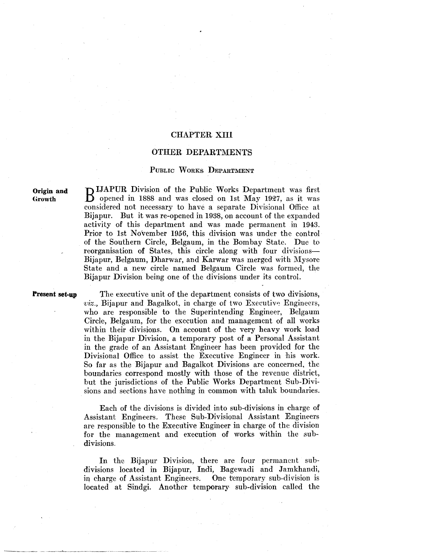# CHAPTER XIII

## OTHER DEPARTMENTS

# PuBLIC WoRKs DEPARTMENT

Origin and **Growth** 

D IJAPUR Division of the Public Works Department was first opened in 1888 and was closed on 1st May 1927, as it was considered not necessary to have a separate Divisional Office at Bijapur. But it was re-opened in 1938, on account of the expanded activity of this department and was made permanent in 1943. Prior to 1st November 1956, this division was under the control of the Southern Circle, Belgaum, in the Bombay State. Due to reorganisation of States, this circle along with four divisions-Bijapur, Belgaum, Dharwar, and Karwar was merged with Mysorc State and a new circle named Belgaum Circle was formed, the Bijapur Division being one of the divisions under its control.

#### Present set-up

The executive unit of the department consists of two divisions,  $viz.$ , Bijapur and Bagalkot, in charge of two Executive Engineers, who are responsible to the Superintending Engineer, Belgaum Circle, Belgaum, for the execution and management of all works within their divisions. On account of the very heavy work load in the Bijapur Division, a temporary post of a Personal Assistant in the grade of an Assistant Engineer has been provided for the Divisional Office to assist the Executive Engineer in his work. So far as the Bijapur and Bagalkot Divisions are concerned, the boundaries correspond mostly with those of the revenue district, but the jurisdictions of the Public Works Department Sub-Divisions and sections have nothing in common with taluk boundaries.

Each of the divisions is divided into sub-divisions in charge of Assistant Engineers. These Sub-Divisional Assistant Engineers are responsible to the Executive Engineer in charge of the division for the management and execution of works within the subdivisions.

In the Bijapur Division, there are four permanent subdivisions located in Bijapur, Indi, Bagewadi and Jamkhandi, in charge of Assistant Engineers. One temporary sub-division is located at Sindgi. Another temporary sub-division called the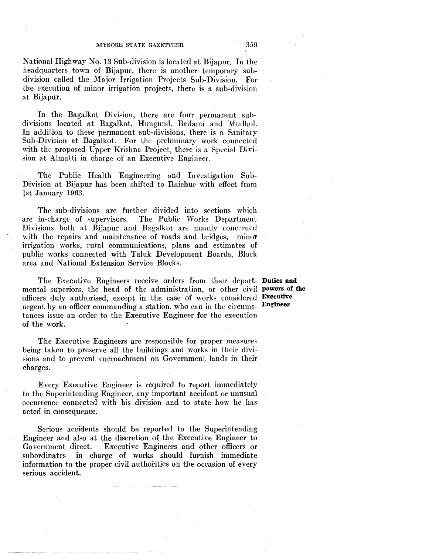National Highway No. 13 Sub-division is located at Bijapur. In the headquarters town of Bijapur, there is another temporary subdivision called the Major Irrigation Projects Sub-Division. For the execution of minor irrigation projects, there is a sub-division at Bijapur.

In the Bagalkot Division, there are four permanent subdivisions located at Bagalkot, Hungund, Badami and Mudhol. In addition to these permanent sub-divisions, there is a Sanitary Sub-Division at Bagalkot. For the preliminary work connected with the proposed Upper Krishna Project, there is a Special Division at Almatti in charge of an Executive Engineer.

The Public Health Engineering and Investigation Sub-Division at Bijapur has been shifted to Raichur with effect from lst January 1963.

The sub-divisions are further divided into sections which are in-charge of supervisors. The Public Works Department Divisions both at Bijapur and Bagalkot are mainly concerned with the repairs and maintenance of roads and bridges, minor irrigation works, rural communications, plans and- estimates of publie works connected with Taluk Development Boards, Block area and National Extension Service Blocks.

The Executive Engineers receive orders from their depart- **Duties and**  mental superiors, the head of the administration, or other civil powers of the officers duly authorised, except in the case of works considered **Executive**<br>urgent by an officer commanding a station who can in the circums. **Engineer** urgent by an officer commanding a station, who can in the circumstances issue an order to the Executive Engineer for the execution of the work.

The Executive Engineers are responsible for proper measures being taken to preserve all the buildings and works in their divisions and to prevent encroachment on Government lands in their charges.

Every Executive Engineer is required to report immediately to the Superintending Engineer, any important accident or unusual occurrence connected with his division and to state how he has acted in consequence.

Serious accidents should! be reported to the Superintending Engineer and also at the discretion of the Executive Engineer to Government direct, Executive Engineers and other officers or subordinates in charge of works should furnish immediate information to the proper civil authorities on the occasion of every serious accident.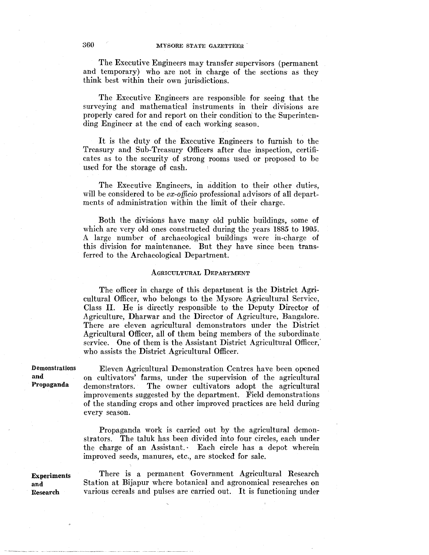The Executive Engineers may transfer supervisors (permanent and temporary) who are not in charge of the sections as they think best within their own jurisdictions.

The Executive Engineers are responsible for seeing that the surveying and mathematical instruments in their divisions are properly cared for and report on their condition' to the Superintending Engineer at the end of each working season.

It is the duty of the Executive Engineers to furnish to the Treasury and Sub-Treasury Officers after due inspection, certificates as to the security of strong rooms used or proposed to be used for the storage of cash.

The Executive Engineers, in addition to their other duties, will be considered to be *ex-officio* professional advisors of all departments of administration within the limit of their charge.

Both the divisions have many old public buildings, some of which are very old ones constructed during the years 1885 to 1905. A large number of archaeological buildings were in-charge of this division for maintenance. But they have since been transferred to the Archaeological Department.

#### AGRICULTURAL DEPARTMENT

The officer in charge of this department is the District Agricultural Officer, who belongs to the Mysore Agricultural Service, Class II. He is directly responsible to the Deputy Director of Agriculture, Dharwar and the Director of Agriculture, Bangalore. There are eleven agricultural demonstrators under the District Agricultural Officer, all of them being members of the subordinate service. One of them is the Assistant District Agricultural Officer,' who assists the District Agricultural Officer.

Demonstrations and Propaganda

Eleven Agricultural Demonstration Centres have been opened on cultivators' farms, under the supervision of the agricultural demonstrators. The owner cultivators adopt the agricultural improvements suggested by the department. Field demonstrations of the standing crops and other improved practices are held during every season.

Propaganda work is carried out by the agricultural demonstrators. The taluk has been divided into four circles, each under the charge of an Assistant. Each circle has a depot wherein improved seeds, manures, etc., are stocked for sale.

**Experiments** and Research

There is a permanent Government Agricultural Research Station at Bijapur where botanical and agronomical researches on various cereals and pulses are carried out. It is functioning under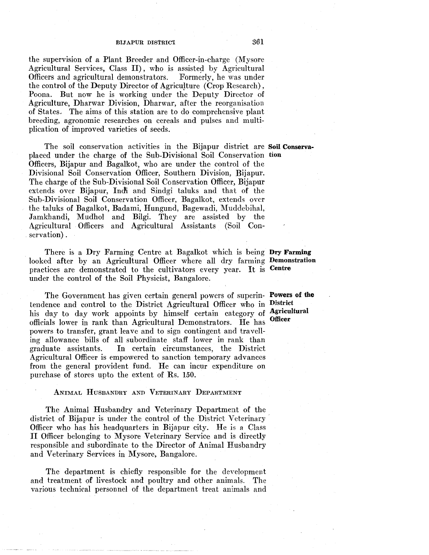the supervision of a Plant Breeder and Officer-in-charge (Mysore Agricultural Services, Class II), who is assisted by Agricultural Officers and agricultural demonstrators. Formerly, he was under Officers and agricultural demonstrators. the control of the Deputy Director of Agriculture (Crop Research), Poona. But now he is working under the Deputy Director of Agriculture, Dharwar Division, Dharwar, after the reorganisation of States.. The aims of this station are to do comprehensive plant breeding, agronomic researches on cereals and pulses and multiplication of improved varieties of seeds.

The soil conservation activities in the Bijapur district are Soil Conservaplaced under the charge of the Sub-Divisional Soil Conservation tion Officers, Bijapur and Bagalkot, who are under the control of the Divisional Soil Conservation Officer, Southern Division, Bijapur. The charge of the Sub-Divisional Soil Conservation Officer, Bijapur extends over Bijapur, Indi and Sindgi taluks and that of the Sub-Divisional Soil Conservation Officer, Bagalkot, extends over the taluks of Bagalkot, Badami, Hungund, Bagewadi, Muddebihal, Jamkhandi, Mudhol and Bilgi. They are assisted by the Agricultural Officers and Agricultural Assistants (Soil Conservation) .

There is a Dry Farming Centre at Bagalkot which is being Dry Farming looked after by an Agricultural Officer where all dry farming Demonstration practices are demonstrated to the cultivators every year. It is under the control of the Soil Physicist, Bangalore. Centre

The Government has given certain general powers of superin- Powers of the tendence and control to the District Agricultural Officer who in his day to day work appoints by himself certain category of Agricultural officials lower in rank than Agricultural Demonstrators. He has powers to transfer, grant leave and to sign contingent and travelling allowance bills of all subordinate staff lower in rank than graduate assistants. In certain circumstances, the District Agricultural Officer is empowered to sanction temporary advances from the general provident fund. He can incur expenditure on purchase of stores upto the extent of Rs. 150.

### ANIMAL HUSBANDRY AND VETERINARY DEPARTMENT

The Animal Husbandry and Veterinary Department of the district of Bijapur is under the control of the District Veterinary Officer who has his headquarters in Bijapur city. He is a Class II Officer belonging to Mysore Veterinary Service and is directly responsible and subordinate to the Director of Animal Husbandry and Veterinary Services in Mysore, Bangalore.

The department is chiefly responsible for the development and treatment of livestock and poultry and other animals. The various technical personnel of the department treat animals and

**District Officer**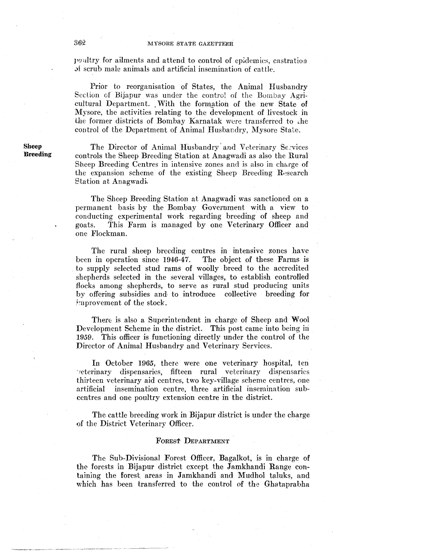positry for ailments and attend to control of epidemics, castration .>f scrub male animals and artificial insemination of cattle.

Prior to reorganisation of States, the Animal Husbandry Seclion of Bijapur was under the control of the Bombay Agricultural Department. With the formation of the new State of Mysore, the activities relating to the development of livestock in the former districts of Bombay Karnatak were transferred to the control of the Department of Animal Husbandry, Mysore State.

Sheep **Breeding** 

The Director of Animal Husbandry' and Veterinary Scvices controls the Sheep Breeding Station at Anagwadi as also the Rural Sheep Breeding Centres in intensive zones and is also in charge of the expansion scheme of the existing Sheep Breeding Research Etation at Anagwadi..

The Sheep Breeding Station at Anagwadi was sanctioned on a permanent basis by the Bombay Government with a view to conducting experimental work regarding breeding of sheep and goats. This Farm is managed by one Veterinary Officer and one Flockman.

The rural sheep breeding centres in intensive zones have been in operation since 1946-47. The object of these Farms is to supply selected stud rams of woolly breed to the accredited shepherds selected in the several villages, to establish controlled flocks among shepherds, to serve as rural stud producing units by offering subsidies and· to introduce collective breeding for improvement of the stock.

There is also a Superintendent in charge of Sheep and Wool Development Scheme in the district. This post came into being in 1959. This officer is functioning directly under the control of the Director of Animal Husbandry and Veterinary Services.

In October 1965, there were one veterinary hospital, ten -,eterinary dispensaries, fifteen rural veterinary dispensaries thirteen veterinary aid centres, two key-village scheme centres, one artificial insemination centre, three artifieial insemination subcentres and one poultry extension centre in the district.

The cattle breeding work in Bijapur district is under the charge of the District Veterinary Officer.

#### FOREST DEPARTMENT

The Sub-Divisional Forest Officer, Bagalkot, is in charge of the forests in Bijapur district except the Jamkhandi Range containing the forest. areas in Jamkhandi and Mudhol taluks, and which has been transferred to the control of the Ghataprabha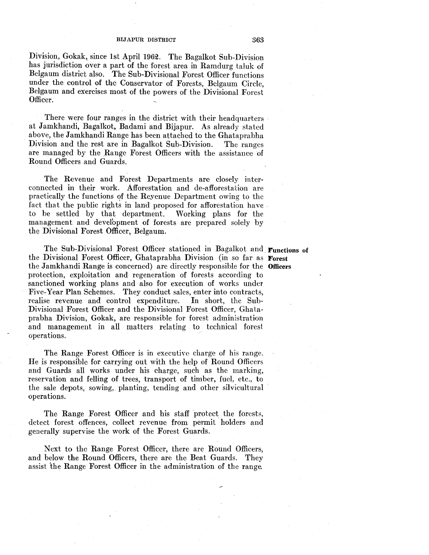Division, Gokak, since 1st April 1962. The Bagalkot Sub-Division has jurisdiction over a part of the forest area in Ramdurg taluk of Belgaum district also. The Sub-Divisional Forest Officer functions under the control of the Conservator of Forests, Belgaum Circle, Belgaum and exercises most of the powers of the Divisional Forest Officer.

There were four ranges in the district with their headquarters at Jamkhandi, Bagalkot, Badami and Bijapur. As already stated above, the Jamkhandi Range has been attached to the Ghataprabha Division and the rest are in Bagalkot Sub-Division. The ranges are managed by the Range Forest Officers with the assistance of Round Officers and Guards.

The Revenue and Forest Departments are closely interconnected in their work. Afforestation and de-afforestation are practically the functions of the Revenue Department owing to the fact that the public rights in land proposed for afforestation have to be settled by that department. Working plans for the management and development of forests are prepared solely by the Divisional Forest Officer, Belgaum.

The Sub-Divisional Forest Officer stationed in Bagalkot and Functions of the Divisional Forest Officer, Ghataprabha Division (in so far as Forest the Jamkhandi Range is concerned) are directly responsible for the Officers protection, exploitation and regeneration of forests according to sanctioned working plans and also for execution of works under Five-Year Plan Schemes. They conduct sales, enter into contracts, realise revenue and control expenditure. In short, the Sub-Divisional Forest Officer and the Divisional Forest Officer, Ghataprabha Division, Gokak, are responsible for forest administration and management in all matters relating to technical forest operations.

The Range Forest Officer is in executive charge of his range. He is responsible for carrying out with the help of Round Officers and Guards all works under his charge, such as the marking, reservation and felling of trees, transport of timber, fuel, etc., to the sale depots, sowing, planting, tending and other silvicultural operations.

The Range Forest Officer and his staff protect the forests, detect forest offences, collect revenue from permit holders and generally supervise the work of the Forest Guards.

Next to the Range Forest Officer, there are Round Officers, and below the Round Officers, there are the Beat Guards. They assist the Range Forest Officer in the administration of the range.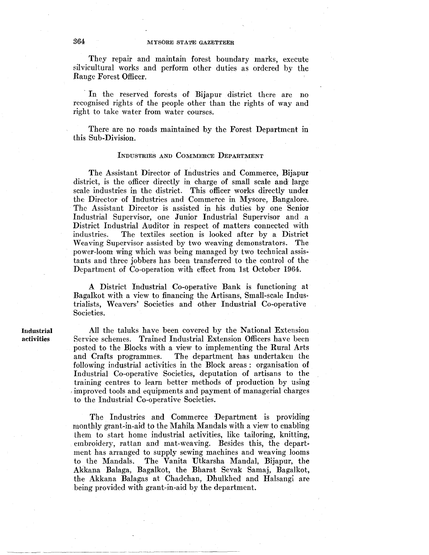They repair and maintain forest boundary marks, execute silvicultural works and perform other duties as ordered by the Range Forest Officer.

In the reserved forests of Bijapur district there are no recognised rights of the people other than the rights of way and right to take water from water courses.

There are no roads maintained by the Forest Department in this Sub-Division.

## INDUSTRIES AND CoMMERCE DEPARTMENT

The Assistant Director of Industries and Commerce, Bijapur district, is the officer directly in charge of small scale and large scale industries in the district. This officer works directly under the Director of Industries and Commerce in Mysore, Bangalore. The Assistant Director is assisted in his duties by one Senior Industrial Supervisor, one Junior Industrial Supervisor and a District Industrial Auditor in respect of matters connected with industries. The textiles section is looked after by a District Weaving Supervisor assisted by two weaving demonstrators. The power-loom wing which was being managed by two technical assistants and three jobbers has been transferred to the control of the Department of Co-operation with effect from 1st October 1964.

A District Industrial Co-operative Bank is functioning at Bagalkot with a view to financing the Artisans, Small-scale Industrialists, Weavers' Societies and other Industrial Co-operative Societies.

All the taluks have been covered by the National Extension Service schemes. Trained Industrial Extension Officers have been posted to the Blocks with a view to implementing the Rural Arts and Crafts programmes. The department has undertaken the following industrial activities in the Block areas : organisation of Industrial Co-operative Societies, deputation of artisans to the training centres to learn better methods of production by using improved tools and equipments and payment of managerial charges to the Industrial Co-operative Societies.

The Industries and Commerce Department is providing monthly grant-in-aid to the Mahila Mandals with a view to enabling them to start home industrial activities, like tailoring, knitting, embroidery, rattan and mat-weaving. Besides this, the department has arranged to supply sewing machines and weaving looms to the Mandals. The Vanita Utkarsha Mandal, Bijapur, the Akkana Balaga, Bagalkot, the Bharat Sevak Samaj, Bagalkot, the Akkana Balagas at Chadchan, Dhulkhed and Halsangi are being provided with grant-in-aid by the department.

--~-~-- --- ------~-----~----- -- -~ -------~-----~-----------------~-~~-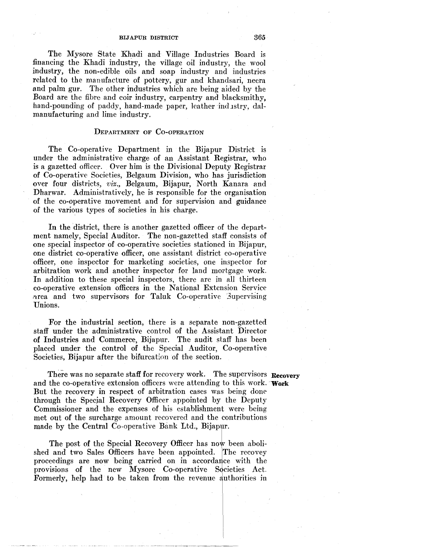The Mysore State Khadi and Village Industries Board is financing the Khadi industry, the village oil industry, the wool industry, the non-edible oils and soap industry and industries related to the manufacture of pottery, gur and khandsari, neera and palm gur. The other industries which are being aided by the Board are the fibre and coir industry, carpentry and blacksmithy, hand-pounding of paddy, hand-made paper, leather industry, dalmanufacturing and lime industry.

## DEPARTMENT OF Co-oPERATION

The Co-operative Department in the Bijapur District is under the administrative charge of an Assistant Registrar, who is a gazetted officer. Over him is the Divisional Deputy Registrar of Co-operative Societies, Belgaum Division, who has jurisdiction over four districts, *viz.,* Belgaum, Bijapur, North Kanara and Dharwar. Administratively, he is responsible for the organisation of the co-operative movement and for supervision and guidance of the various types of societies in his charge.

In the district, there is another gazetted officer of the department namely, Special Auditor. The non-gazetted staff consists of one special inspector of co-operative societies stationed in Bijapur, one district co-operative officer, one assistant district co-operative officer, one inspector for marketing societies, one inspector for arbitration work and another inspector for land mortgage work. In addition to these special inspectors, there are in all thirteen co-operative extension officers in the National Extension Service ."Jrea and two supervisors for Taluk Co-operative 3upervising Unions.

For the industrial section, there is a separate non-gazetted staff under the administrative control of the Assistant Director of Industries and Commerce, Bijapur. The audit staff has been placed under the control of the Special Auditor, Co-operative Societies, Bijapur after the bifurcation of the section.

There was no separate staff for recovery work. The supervisors Recovery and the co-operative extension officers were attending to this work. **Work**  But the recovery in respect of arbitration cases was being done through the Special Recovery Officer appointed by the Deputy Commissioner and the expenses of his establishment were being met out of the surcharge amount recovered and the contributions made by the Central Co-operative Bank Ltd., Bijapur.

The post of the Special Recovery Officer has now been abolished and two Sales Officers have been appointed. The recovey proceedings are now being carried on in accordance with the provisions of the new Mysore Co-operative Societies Act. Formerly, help had to be taken from the revenue authorities in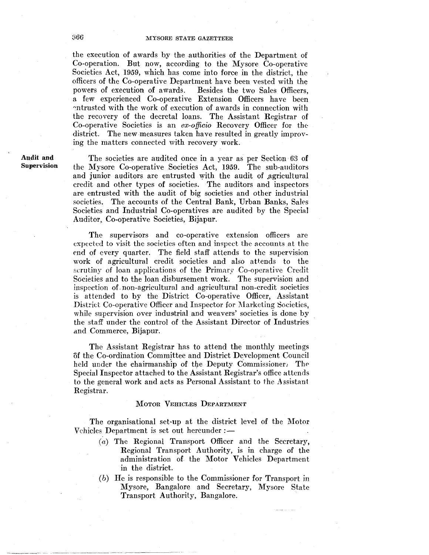the execution of awards hy the authorities of the Department of Co-operation. But now, according to the Mysore Co-operative Societies Act, 1959, which has come into force in the district, the officers of the Co-operative Department have been vested with the Besides the two Sales Officers, a few experienced Co-operative Extension Officers have been ~ntrusted with the work of execution of awards in connection with the recovery of the decretal loans. The Assistant Registrar of Co-operative Societies is an *ex-officio* Recovery Officer for the district. The new measures taken have resulted in greatly improving the matters connected with recovery work.

Audit and Supervision

The societies are audited once in a year as per Section 63 of the Mysore Co-operative Societies Act, 1959. The sub-auditors and junior auditors are entrusted with the audit of agricultural credit and other types of societies. The auditors and inspectors are entrusted with the audit of big societies and other industrial societies. The accounts of the Central Bank, Urban Banks, Sales Societies and Industrial Co-operatives are audited by the Special Auditor, Co-operative Societies, Bijapur.

The supervisors and co-operative extension officers are expected to visit the societies often and inspect the accounts at the end of every quarter. The field staff attends to the supervision work of agricultural credit societies and also attends to the scrutiny of loan applications of the Primary Co-operative Credit Societies and to the loan disbursement work. The supervision and inspection of non-agricultural and agricultural non-credit societies is attended to by the District Co-operative Officer, Assistant District Co-operative Officer and Inspector for Marketing Societies, while supervision over industrial and weavers' societies is done by the staff under the control of the Assistant Director of Industries and Commerce, Bijapur.

The Assistant Registrar has to attend the monthly meetings of the Co-ordination Committee and District Development Council held under the chairmanship of the Deputy Commissioner. The Special Inspector attached to the Assistant Registrar's office attends to the general work and acts as Personal Assistant to the Assistant Registrar.

## MOTOR VEHICLES DEPARTMENT

The organisational set-up at the district level of the Motor Vehicles Department is set out hereunder: -

- (a) The Regional Transport Officer and the Secretary, Regional Transport Authority, is in charge of the administration of the Motor Vehicles Department in the district.
- (b) He is responsible to the Commissioner for Transport in Mysore, Bangalore and Secretary, Mysore State Transport Authority, Bangalore.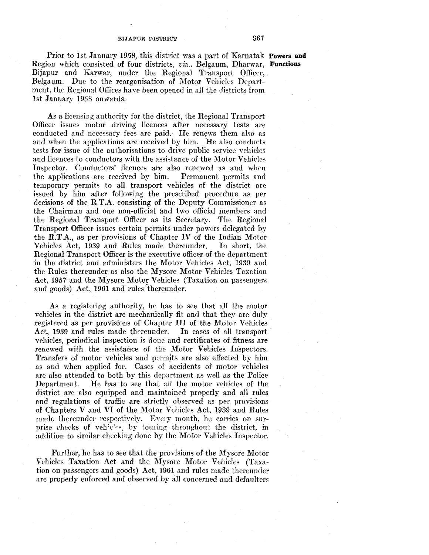Prior to 1st January 1958, this district was a part of Karnatak Powers **and**  Region which consisted of four districts, *viz.,* Belgaum, Dharwar, **Functions**  Bijapur and Karwar, under the Regional Transport Officer,. Belgaum. Due to the reorganisation of Motor Vehicles Department, the Regional Offices have been opened in all the districts from 1st January 1958 onwards.

As a licensing authority for the district, the Regional Transport Officer issues motor driving licences after necessary tests are conducted and necessary fees are paid. He renews them also as and when the applications are received by him. He also conducts tests for issue of the authorisations to drive public service vehicles and licences to conductors with the assistance of the Motor Vehicles Inspector. Conductors' licences are also renewed as and when the applications. are received by him. Permanent permits and temporary permits to all transport vehicles of the district are issued by him after following the prescribed procedure as per decisions of the R.T.A. consisting of the Deputy Commissioner as the Chairman and one non-official and two official members and the Regional Transport Officer as its Secretary. The Regional Transport Officer issues certain permits under powers delegafed by the R.T.A., as per provisions of Chapter IV of the Indian Motor Vehicles Act, 1939 and Rules made thereunder. In short, the Regional Transport Officer is the executive officer of the department in the district and administers the Motor Vehicles Act, 1939 and the Rules thereunder as also the Mysore Motor Vehicles Taxation Act, 1957 and the Mysore Motor Vehicles (Taxation on passengers) and goods) Act, 1961 and rules thereunder.

As a registering authority, he has to see that all the motor vehicles in the district are mechanically fit and that they are duly registered as per provisions of Chapter III of the Motor Vehicles<br>Act, 1939 and rules made thereunder. In cases of all transport Act, 1939 and rules made thereunder. vehicles, periodical inspection is done and certificates of fitness are renewed with the assistance of the Motor Vehicles Inspectors. Transfers of motor vehicles and permits are also effected by him as and when applied for. Cases of accidents of motor vehicles are also attended to both by this department as well as the Police Department. He has to see that all the motor vehicles of the district are also equipped and maintained properly and all rules and regulations of traffic are strictly observed as per provisions of Chapters V and VI of the Motor Vehicles Act, 1939 and Rules made thereunder respectively. Every month, he carries on surprise checks of vehicles, by touring throughout the district, in addition to similar checking done by the Motor Vehicles Inspector.

Further, he has to see that the provisions of the Mysore Motor Vehicles Taxation Act and the Mysore Motor Vehicles (Taxation on passengers and goods) Act, 1961 and rules made thereunder are properly enforced and observed by all concerned and defaulters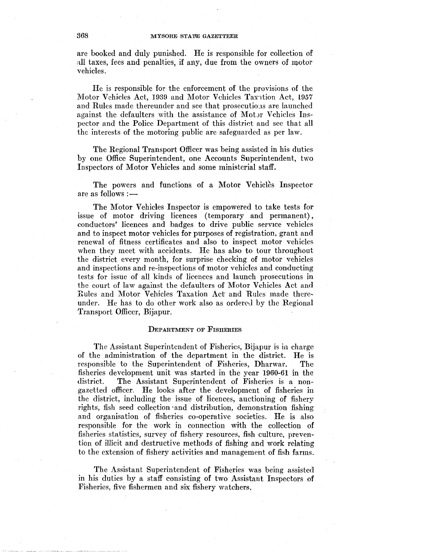are booked and duly punished. He is responsible for collection of all taxes, fees and penalties, if any, due from the owners of motor vehicles.

He is responsible for the enforcement of the provisions of the Motor Vehicles Act, 1939 and Motor Vehicles Taxation Act, 1957 and Rules made thereunder and see that prosecutions are launched against the defaulters with the assistance of Motor Vehicles Inspector and the Police Department of this district and see that all the interests of the motoring public are safeguarded as per law.

The Regional Transport Officer was being assisted in his duties by one Office Superintendent, one Accounts Superintendent, two Inspectors of Motor Vehicles and some ministerial staff.

The powers and functions of a Motor Vehicles Inspector are as follows :-

The Motor Vehicles Inspector is empowered to take tests for issue of motor driving licences (temporary and permanent), conductors' licences and badges to drive public service vehicles and to inspect motor vehicles for purposes of registration, grant and renewal of fitness certificates and also to inspect motor vehicles when they meet with accidents. He has also to tour throughout the district every month, for surprise checking of motor vehicles and inspections and re-inspections of motor vehicles and conducting tests for issue of all kinds of licences and launch prosecutions in the court of law against the defaulters of Motor Vehicles Act and Rules and Motor Vehicles Taxation Act and Rules made there~ under. He has to do other work also as ordered by the Regional Transport Officer, Bijapur.

#### DEPARTMENT OF FISHERIES

The Assistant Superintendent of Fisheries, Bijapur is in charge of the administration of the department in the district. He is responsible to the Superintendent of Fisheries, Dharwar. The fisheries development unit was started in the year 1960-61 in the district. The Assistant Superintendent of Fisheries is a nongazetted officer. He looks after the development of fisheries in the district, including the issue of licences, auctioning of fishery rights, fish seed collection ·and distribution, demonstration fishing and organisation of fisheries co-operative societies. He is also responsible for the work in connection with the collection of fisheries statistics, survey of fishery resources, fish culture, prevention of illicit and destructive methods of fishing and work relating to the extension of fishery activities and management of fish farms.

The Assistant Superintendent of Fisheries was being assisted in his duties by a staff consisting of two Assistant Inspectors of Fisheries, five fishermen and six fishery watchers,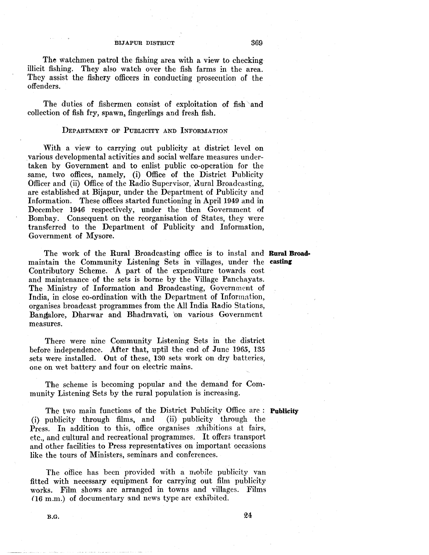The watchmen patrol the fishing area with a view to checking illicit fishing. They also watch over the fish farms in the area. They assist the fishery officers in conducting prosecution of the offenders.

The duties of fishermen consist of exploitation of fish 'and collection of fish fry, spawn, fingerlings and fresh fish.

## DEPARTMENT OF PUBLICITY AND INFORMATION

With a view to carrying out publicity at district level on various developmental activities and social welfare measures undertaken by Government and to enlist public co-operation for the same, two offices, namely, (i) Office of the District Publicity Officer and (ii) Office of the Radio Supervisor, Rural Broadcasting, are established at Bijapur, under the Department of Publicity and Information. These offices started functioning in April 1949 and in December 1946 respectively, under the then Government of Bombay. Consequent on the reorganisation of States, they were transferred to the Department of Publicity and Information, Government of Mysore.

The work of the Rural Broadcasting office is to instal and **Rural Broad·**  maintain the Community Listening Sets in villages, under the casting Contributory Scheme. A part of the expenditure towards cost and maintenance of the sets is borne by the Village Panchayats. The Ministry of Information and Broadcasting, Government of India, in close co-ordination with the Department of Information, organises broadcast programmes from the All India Radio Stations, Bangalore, Dharwar and Bhadravati, 'on various Government measures.

There were nine Community Listening Sets in the district before independence. After that, uptil the end of June 1965, 185 sets were installed. Out of these, 180 sets work on dry batteries, one on wet battery and four on electric mains.

The scheme is becoming popular and the demand for Community Listening Sets by the rural population is increasing.

The two main functions of the District Publicity Office are : **Publicity** publicity through films, and (ii) publicity through the (i) publicity through films, and Press. In addition to this, office organises exhibitions at fairs, etc., and cultural and recreational programmes. It offers transport and other facilities to Press representatives on important occasions like the tours of Ministers, seminars and conferences.

The office has been provided with a mobile publicity van fitted with necessary equipment for carrying out film publicity works. Film shows are arranged in towns and villages. Films (16 m.m.) of documentary and news type are exhibited.

 $B.G.$  24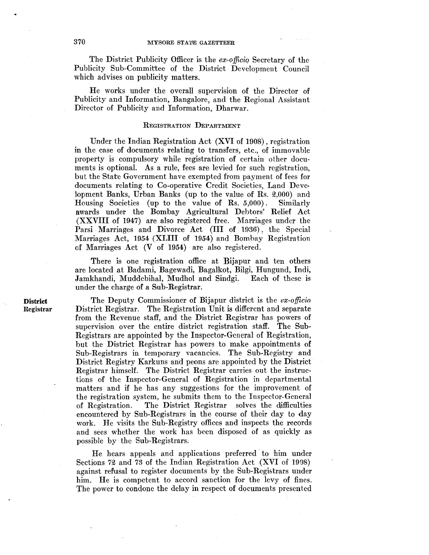The District Publicity Officer is the *ex-officiq* Secretary of the Publicity Sub-Committee of the District Development Council which advises on publicity matters.

He works under the overall supervision of the Director of Publicity and Information, Bangalore, and the Regional Assistant Director of Publicity and Information, Dharwar.

## REGISTRATION DEPARTMENT

Under the Indian Registration Act (XVI of 1908) , registration in the case of documents relating to transfers, etc., of immovable property is compulsory while registration of certain other documents is optional. As a rule, fees are levied for such registration, but the State Government have exempted from payment of fees for documents relating to Co-operative Credit Societies, Land Deve· lopment Banks, Urban Banks (up to the value of Rs.  $2,000$ ) and Housing Societies (up to the value of Rs. 5,000). Similarly awards under the Bombay Agricultural Debtors' Relief Act (XXVIII of 1947) are also registered free. Marriages under the Farsi Marriages and Divorce Act (III of 1936) , the Special Marriages Act, 1954 (XLIII of 1954) and Bombay Registration ef Marriages Act (V of 1954) are also registered.

There is one registration office at Bijapur and ten others are located at Badami, Bagewadi, Bagalkot, Bilgi, Hungund, lndi, Jamkhandi, Muddebihal, Mudhol and Sindgi. Each of these is under the charge of a Sub-Registrar.

The Deputy Commissioner of Bijapur district is the  $ex$ -officio District Registrar. The Registration Unit is different and separate from the Revenue staff, and the District Registrar has powers of supervision over the entire district registration staff. The Sub-Registrars are appointed by the Inspector-General of Registration, but the District Registrar has powers to make appointments of Sub-Registrars in temporary vacancies. The Sub-Registry and District Registry Karkuns and peons are appointed by the District Registrar himself. The District Registrar carries out the instructions of the Inspector-General of Registration in departmental matters and if he has any suggestions for the improvement of the registration system, he submits them to the Inspector-General of Registration. The District Registrar solves the difficulties encountered by Sub-Registrars in the course of their day to day work. He visits the Sub-Registry offices and inspects the records and sees whether the work has been disposed of as quickly as possible by the Sub-Registrars,

He hears appeals and applications preferred· to him under Sections 72 and 73 of the Indian Registration Act (XVI of 1908) against refusal to register documents by the Sub-Registrars under him. He is competent to accord sanction for the levy of fines. The power to condone the delay in respect of documents presented

**District**  Registrar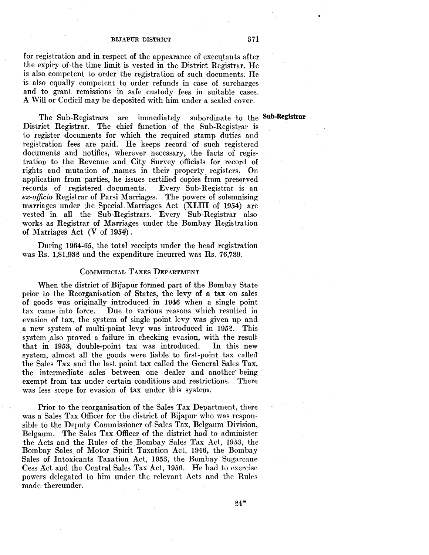for registration and in respect of the appearance of executants after the expiry of the time limit is vested in the District Registrar. He is also competent to order the registration of such documents. He is also equally competent to order refunds in case of surcharges and to grant remissions in safe custody fees in suitable cases. A Will or Codicil may be deposited with him under a sealed cover.

The Sub-Registrars are immediately subordinate to the **Sub-Registrar**  District Registrar. The chief function of the Sub-Registrar is to register documents for which the required stamp duties and registration fees are paid. He keeps record of such registered documents and notifies, wherever necessary, the facts of registration to the Revenue and City Survey officials for record of rights and mutation of names in their property registers. On application from parties, he issues certified copies from preserved records of registered documents. Every Sub-Registrar is an *ex-officio* Registrar of Parsi Marriages. The powers of solemnising marriages under the Special Marriages Act (XLIII of 1954) are vested in all the Sub-Registrars. Every Sub-Registrar also works as Registrar of Marriages under the Bombay Registration of Marriages Act  $(V \text{ of } 1954).$ 

During 1964-65, the total receipts under the head registration was Rs. 1,81,932 and the expenditure incurred was Rs. 76,739.

## CoMMERCIAL TAXES DEPARTMENT

When the district of Bijapur formed part of the Bombay State prior to the Reorganisation of States, the levy of a tax on sales of goods was originally introduced in 1946 when a single point tax carne into force. Due to various reasons which resulted in evasion of tax, the system of single point levy was given up and a new system of multi-point levy was introduced in 1952. This system also proved a failure in checking evasion, with the result that in 1953, double-point tax was introduced. In this new system, almost all the goods were liable to first-point tax called the Sales Tax and the last point tax called the General Sales Tax, the intermediate sales between one dealer and another' being exempt from tax under certain conditions and restrictions. There was less scope for evasion of tax under this system.

Prior to the reorganisation of the Sales Tax Department, there was a Sales Tax Officer for the district of Bijapur who was responsible to the Deputy Commissioner of Sales Tax, Belgaum Division, Belgaum. The Sales Tax Officer of the district had to administer the Acts and the Rules of the Bombay Sales Tax Act, 1953, the Bombay Sales of Motor Spirit Taxation Act, 1946, the Bombay Sales of Intoxicants Taxation Act, 1958, the Bombay Sugarcane Cess Act and the Central Sales Tax Act, 1956. He had to exercise powers delegated to him under the relevant Acts and the Rules made thereunder.